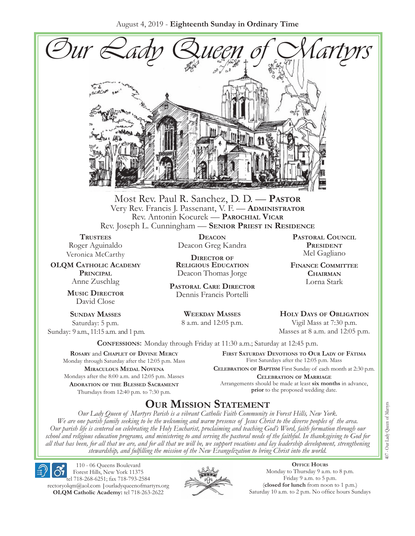August 4, 2019 - **Eighteenth Sunday in Ordinary Time**



Most Rev. Paul R. Sanchez, D. D. — **Pastor** Very Rev. Francis J. Passenant, V. F. — **Administrator** Rev. Antonin Kocurek — **Parochial Vicar** Rev. Joseph L. Cunningham — **Senior Priest in Residence**

**TRUSTEES** Roger Aguinaldo Veronica McCarthy

**OLQM Catholic Academy Principal** Anne Zuschlag

> **Music Director** David Close

**Sunday Masses** Saturday: 5 p.m. Sunday: 9 a.m., 11:15 a.m. and 1 p.m.

**Deacon** Deacon Greg Kandra

**Director of Religious Education** Deacon Thomas Jorge

**Pastoral Care Director** Dennis Francis Portelli

> **Weekday Masses** 8 a.m. and 12:05 p.m.

**Pastoral Council President** Mel Gagliano

**Finance Committee Chairman** Lorna Stark

**Holy Days of Obligation** Vigil Mass at 7:30 p.m.

Masses at 8 a.m. and 12:05 p.m.

**Confessions:** Monday through Friday at 11:30 a.m.; Saturday at 12:45 p.m.

**Rosary** and **Chaplet of Divine Mercy** Monday through Saturday after the 12:05 p.m. Mass **Miraculous Medal Novena** Mondays after the 8:00 a.m. and 12:05 p.m. Masses **Adoration of the Blessed Sacrament** Thursdays from 12:40 p.m. to 7:30 p.m.

**First Saturday Devotions to Our Lady of Fátima** First Saturdays after the 12:05 p.m. Mass

**Celebration of Baptism** First Sunday of each month at 2:30 p.m. **Celebration of Marriage** Arrangements should be made at least **six months** in advance, **prior** to the proposed wedding date.

# **Our Mission Statement**

*Our Lady Queen of Martyrs Parish is a vibrant Catholic Faith Community in Forest Hills, New York. We are one parish family seeking to be the welcoming and warm presence of Jesus Christ to the diverse peoples of the area. Our parish life is centered on celebrating the Holy Eucharist, proclaiming and teaching God's Word, faith formation through our school and religious education programs, and ministering to and serving the pastoral needs of the faithful. In thanksgiving to God for all that has been, for all that we are, and for all that we will be, we support vocations and lay leadership development, strengthening stewardship, and fulfilling the mission of the New Evangelization to bring Christ into the world.*

110 - 06 Queens Boulevard Forest Hills, New York 11375 tel 718-268-6251; fax 718-793-2584 [rectoryolqm@aol.com](mailto:rectoryolqm@aol.com) **|**[ourladyqueenofmartyrs.org](www.ourladyqueenofmartyrs.org) **OLQM Catholic Academy:** tel 718-263-2622



**Office Hours** Monday to Thursday 9 a.m. to 8 p.m. Friday 9 a.m. to 5 p.m. (**closed for lunch** from noon to 1 p.m.) Saturday 10 a.m. to 2 p.m. No office hours Sundays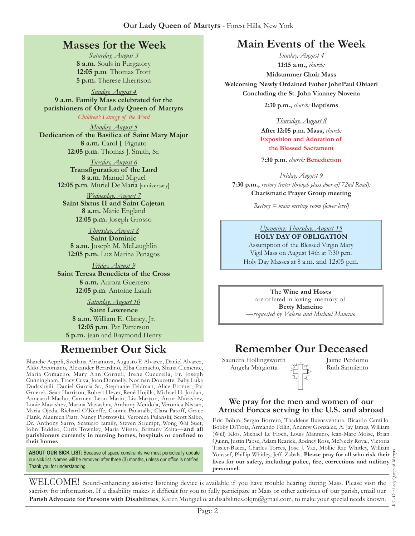### **Masses for the Week**

*Saturday, August 3* **8 a.m.** Souls in Purgatory **12:05 p.m***.* Thomas Trott **5 p.m.** Therese Lherrison

*Sunday, August 4* **9 a.m. Family Mass celebrated for the parishioners of Our Lady Queen of Martyrs** *Children's Liturgy of the Word* 

*Monday, August 5* **Dedication of the Basilica of Saint Mary Major 8 a.m.** Carol J. Pignato **12:05 p.m.** Thomas J. Smith, Sr.

> *Tuesday, August 6* **Transfiguration of the Lord 8 a.m.** Manuel Miguel **12:05 p.m***.* Muriel DeMaria [anniversary]

*Wednesday, August 7* **Saint Sixtus II and Saint Cajetan 8 a.m.** Marie England **12:05 p.m.** Joseph Grosso

*Thursday, August 8* **Saint Dominic 8 a.m.** Joseph M. McLaughlin **12:05 p.m.** Luz Marina Penagos

*Friday, August 9* **Saint Teresa Benedicta of the Cross 8 a.m.** Aurora Guerrero **12:05 p.m***.* Antoine Lakah

*Saturday, August 10* **Saint Lawrence 8 a.m.** William E. Clancy, Jr. **12:05 p.m***.* Pat Patterson **5 p.m.** Jean and Raymond Henry

Blanche Aeppli, Svetlana Abramova, Augusto F. Alvarez, Daniel Alvarez, Aldo Arcomano, Alexander Berardino, Elba Camacho, Shana Clemente, Maria Comacho, Mary Ann Cornell, Irene Cucurella, Fr. Joseph Cunningham, Tracy Cuva, Joan Donnelly, Norman Doucette, Baby Luka Dudashvili, Daniel Garcia Sr., Stephanie Feldman, Alice Fromer, Pat Gmerek, Sean Harrison, Robert Heyer, René Hojilla, Michael H. Jordan, Anncarol Macho, Carmen Leon Marin, Liz Maryon, Artur Mavashev, Louie Mavashev, Marina Mavashev, Anthony Mendola, Veronica Nissan, Maria Ojeda, Richard O'Keeffe, Connie Panaralla, Clara Patoff, Grace Plank, Maureen Piatt, Nancy Piotrowski, Veronica Pulanski, Scott Salbo, Dr. Anthony Sarro, Scaturro family, Steven Strumpf, Wong Wai Suet, John Taddeo, Chris Townley, Maria Viesta, Brittany Zaita—**and all parishioners currently in nursing homes, hospitals or confined to their homes**

ABOUT OUR SICK LIST: Because of space constraints we must periodically update our sick list. Names will be removed after three (3) months, unless our office is notified. Thank you for understanding.

# **Main Events of the Week**

*Sunday, August 4* **11:15 a.m.,** *church:*  **Midsummer Choir Mass Welcoming Newly Ordained Father JohnPaul Obiaeri Concluding the St. John Vianney Novena**

**2:30 p.m.,** *church:* **Baptisms**

*Thursday, August 8* **After 12:05 p.m. Mass,** *church:*  **Exposition and Adoration of the Blessed Sacrament**

**7:30 p.m.** *church:* **Benediction**

*Friday, August 9* **7:30 p.m.,** *rectory (enter through glass door off 72nd Road):* **Charismatic Prayer Group meeting**

*Rectory = main meeting room (lower level)*

#### *Upcoming: Thursday, August 15* **Holy Day of Obligation**

Assumption of the Blessed Virgin Mary Vigil Mass on August 14th at 7:30 p.m. Holy Day Masses at 8 a.m. and 12:05 p.m.

The **Wine and Hosts** are offered in loving memory of **Betty Mancino** *—requested by Valerie and Michael Mancino*

# **Remember Our Sick Remember Our Deceased**

Saundra Hollingsworth Angela Margiotta

Jaime Perdomo Ruth Sarmiento

#### **We pray for the men and women of our Armed Forces serving in the U.S. and abroad**

Eric Böhm, Sergio Borrero, Thaddeus Buenaventura, Ricardo Cantillo, Bobby DiTroia, Armando Fellin, Andrew Gonzalez, A. Jay James, William (Will) Klos, Michael Le Floch, Louis Mannino, Jean-Marc Moïse, Brian Quinn, Justin Pabse, Adam Rearick, Rodney Ross, McNeely Royal, Victoria Tissler-Bacca, Charles Torres, Jose J. Vaz, Mollie Rae Whitley, William Youssef, Phillip Whitley, Jeff Zabala. **Please pray for all who risk their lives for our safety, including police, fire, corrections and military personnel.**

407 - Our Lady Queen of Martyrs Our Lady  $\overline{407}$  .

WELCOME! Sound-enhancing assistive listening device is available if you have trouble hearing during Mass. Please visit the sacristy for information. If a disability makes it difficult for you to fully participate at Mass or other activities of our parish, email our **Parish Advocate for Persons with Disabilities**, Karen Mongiello, at [disabilities.olqm@gmail.com,](mailto:disabilities.olqm@gmail.com) to make your special needs known.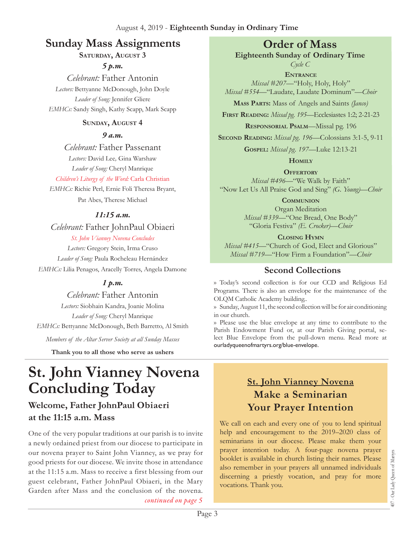# **Sunday Mass Assignments Order of Mass**

#### **Saturday, August 3**

*5 p.m.* 

*Celebrant:* Father Antonin *Lectors:* Bettyanne McDonough, John Doyle *Leader of Song:* Jennifer Gliere *EMHCs:* Sandy Singh, Kathy Scapp, Mark Scapp

#### **Sunday, August 4**

#### *9 a.m.*

*Celebrant:* Father Passenant *Lectors:* David Lee*,* Gina Warshaw *Leader of Song:* Cheryl Manrique

#### *Children's Liturgy of the Word:* Carla Christian

*EMHCs:* Richie Perl, Ernie Foli Theresa Bryant, Pat Abes, Therese Michael

#### *11:15 a.m.*

*Celebrant:* Father JohnPaul Obiaeri

#### *St. John Vianney Novena Concludes*

*Lectors:* Gregory Stein, Irma Cruso *Leader of Song:* Paula Rocheleau Hernández *EMHCs:* Lilia Penagos, Aracelly Torres, Angela Damone

#### *1 p.m.*

*Celebrant:* Father Antonin *Lectors:* Siobhain Kandra, Joanie Molina *Leader of Song:* Cheryl Manrique *EMHCs:* Bettyanne McDonough, Beth Barretto, Al Smith *Members of the Altar Server Society at all Sunday Masses*

**Thank you to all those who serve as ushers**

# **St. John Vianney Novena Concluding Today**

# **Welcome, Father JohnPaul Obiaeri at the 11:15 a.m. Mass**

One of the very popular traditions at our parish is to invite a newly ordained priest from our diocese to participate in our novena prayer to Saint John Vianney, as we pray for good priests for our diocese. We invite those in attendance at the 11:15 a.m. Mass to receive a first blessing from our guest celebrant, Father JohnPaul Obiaeri, in the Mary Garden after Mass and the conclusion of the novena. *continued on page 5*

**Eighteenth Sunday of Ordinary Time**

*Cycle C* **Entrance** *Missal #207—*"Holy, Holy, Holy" *Missal #554*—"Laudate, Laudate Dominum"*—Choir* 

**Mass Parts:** Mass of Angels and Saints *(Janco)*

**First Reading:** *Missal pg. 195—*Ecclesiastes 1:2; 2-21-23

**Responsorial Psalm**—Missal pg. 196

**Second Reading:** *Missal pg. 196—*Colossians 3:1-5, 9-11

**Gospel:** *Missal pg. 197—*Luke 12:13-21

**Homily**

**OFFERTORY** 

*Missal #496—*"We Walk by Faith" "Now Let Us All Praise God and Sing" *(G. Young)—Choir* 

**Communion**

Organ Meditation *Missal #339—*"One Bread, One Body" "Gloria Festiva" *(E. Crocker)—Choir* 

**Closing Hymn** *Missal #415*—"Church of God, Elect and Glorious" *Missal #719—*"How Firm a Foundation"*—Choir* 

#### **Second Collections**

›› Today's second collection is for our CCD and Religious Ed Programs. There is also an envelope for the maintenance of the OLQM Catholic Academy building..

›› Sunday, August 11, the second collection will be for air conditioning in our church.

›› Please use the blue envelope at any time to contribute to the Parish Endowment Fund or, at our Parish Giving portal, select Blue Envelope from the pull-down menu. Read more at ourladyqueenofmartyrs.org/blue-envelope.

# **St. John Vianney Novena Make a Seminarian Your Prayer Intention**

We call on each and every one of you to lend spiritual help and encouragement to the 2019–2020 class of seminarians in our diocese. Please make them your prayer intention today. A four-page novena prayer booklet is available in church listing their names. Please also remember in your prayers all unnamed individuals discerning a priestly vocation, and pray for more vocations. Thank you.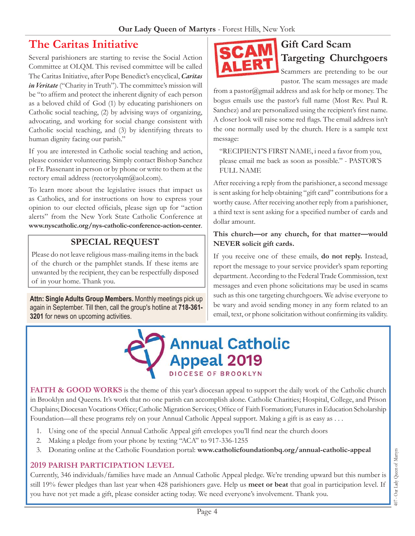# **The Caritas Initiative**

Several parishioners are starting to revise the Social Action Committee at OLQM. This revised committee will be called The Caritas Initiative, after Pope Benedict's encyclical, *Caritas*  in Veritate ("Charity in Truth"). The committee's mission will be "to affirm and protect the inherent dignity of each person as a beloved child of God (1) by educating parishioners on Catholic social teaching, (2) by advising ways of organizing, advocating, and working for social change consistent with Catholic social teaching, and (3) by identifying threats to human dignity facing our parish."

If you are interested in Catholic social teaching and action, please consider volunteering. Simply contact Bishop Sanchez or Fr. Passenant in person or by phone or write to them at the rectory email address (rectoryolqm@aol.com).

To learn more about the legislative issues that impact us as Catholics, and for instructions on how to express your opinion to our elected officials, please sign up for "action alerts" from the New York State Catholic Conference at **[www.nyscatholic.org/nys-catholic-conference-action-center](https://www.nyscatholic.org/nys-catholic-conference-action-center/)**.

### **Special Request**

Please do not leave religious mass-mailing items in the back of the church or the pamphlet stands. If these items are unwanted by the recipient, they can be respectfully disposed of in your home. Thank you.

**Attn: Single Adults Group Members.** Monthly meetings pick up again in September. Till then, call the group's hotline at **718-361- 3201** for news on upcoming activities.



# **Gift Card Scam Targeting Churchgoers**

Scammers are pretending to be our pastor. The scam messages are made

from a pastor@gmail address and ask for help or money. The bogus emails use the pastor's full name (Most Rev. Paul R. Sanchez) and are personalized using the recipient's first name. A closer look will raise some red flags. The email address isn't the one normally used by the church. Here is a sample text message:

"RECIPIENT'S FIRST NAME, i need a favor from you, please email me back as soon as possible." - PASTOR'S FULL NAME

After receiving a reply from the parishioner, a second message is sent asking for help obtaining "gift card" contributions for a worthy cause. After receiving another reply from a parishioner, a third text is sent asking for a specified number of cards and dollar amount.

#### **This church—or any church, for that matter—would NEVER solicit gift cards.**

If you receive one of these emails, **do not reply.** Instead, report the message to your service provider's spam reporting department. According to the Federal Trade Commission, text messages and even phone solicitations may be used in scams such as this one targeting churchgoers. We advise everyone to be wary and avoid sending money in any form related to an email, text, or phone solicitation without confirming its validity.



FAITH & GOOD WORKS is the theme of this year's diocesan appeal to support the daily work of the Catholic church in Brooklyn and Queens. It's work that no one parish can accomplish alone. Catholic Charities; Hospital, College, and Prison Chaplains; Diocesan Vocations Office; Catholic Migration Services; Office of Faith Formation; Futures in Education Scholarship Foundation—all these programs rely on your Annual Catholic Appeal support. Making a gift is as easy as . . .

- 1. Using one of the special Annual Catholic Appeal gift envelopes you'll find near the church doors
- 2. Making a pledge from your phone by texting "ACA" to 917-336-1255
- 3. Donating online at the Catholic Foundation portal: **[www.catholicfoundationbq.org/annual-](www.catholicfoundationbq.org/annual)catholic-appeal**

#### **2019 PARISH Participation Level**

Currently, 346 individuals/families have made an Annual Catholic Appeal pledge. We're trending upward but this number is still 19% fewer pledges than last year when 428 parishioners gave. Help us **meet or beat** that goal in participation level. If you have not yet made a gift, please consider acting today. We need everyone's involvement. Thank you.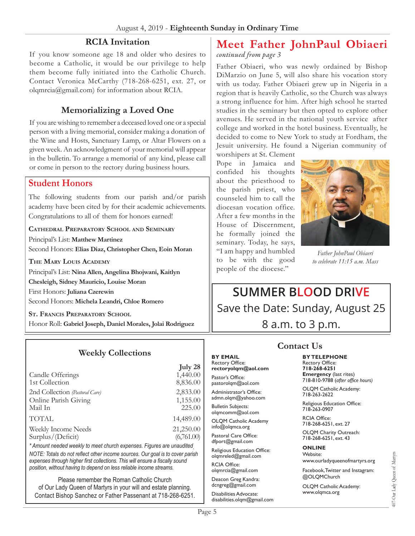#### **RCIA Invitation**

If you know someone age 18 and older who desires to become a Catholic, it would be our privilege to help them become fully initiated into the Catholic Church. Contact Veronica McCarthy (718-268-6251, ext. 27, or olqmrci[a@gmail.com\)](mailto:rectoryolqm@aol.com) for information about RCIA.

### **Memorializing a Loved One**

If you are wishing to remember a deceased loved one or a special person with a living memorial, consider making a donation of the Wine and Hosts, Sanctuary Lamp, or Altar Flowers on a given week. An acknowledgment of your memorial will appear in the bulletin. To arrange a memorial of any kind, please call or come in person to the rectory during business hours.

#### **Student Honors**

The following students from our parish and/or parish academy have been cited by for their academic achievements. Congratulations to all of them for honors earned!

**Cathedral Preparatory School and Seminary** Principal's List: **Matthew Martinez** Second Honors: **Elias Diaz, Christopher Chen, Eoin Moran**

**The Mary Louis Academy**

Principal's List: **Nina Allen, Angelina Bhojwani, Kaitlyn Chesleigh, Sidney Mauricio, Louise Moran** First Honors: **Juliana Czerewin** Second Honors: **Michela Leandri, Chloe Romero**

**St. Francis Preparatory School** Honor Roll: **Gabriel Joseph, Daniel Morales, Jolai Rodriguez**

#### **Weekly Collections**

| July 28    |
|------------|
| 1,440.00   |
| 8,836.00   |
| 2,833.00   |
| 1,155.00   |
| 225.00     |
| 14,489.00  |
| 21,250.00  |
| (6,761.00) |
|            |

*\* Amount needed weekly to meet church expenses. Figures are unaudited. NOTE: Totals do not reflect other income sources. Our goal is to cover parish expenses through higher first collections. This will ensure a fiscally sound position, without having to depend on less reliable income streams.*

Please remember the Roman Catholic Church of Our Lady Queen of Martyrs in your will and estate planning. Contact Bishop Sanchez or Father Passenant at 718-268-6251.

# **Meet Father JohnPaul Obiaeri**

*continued from page 3*

Father Obiaeri, who was newly ordained by Bishop DiMarzio on June 5, will also share his vocation story with us today. Father Obiaeri grew up in Nigeria in a region that is heavily Catholic, so the Church was always a strong influence for him. After high school he started studies in the seminary but then opted to explore other avenues. He served in the national youth service after college and worked in the hotel business. Eventually, he decided to come to New York to study at Fordham, the Jesuit university. He found a Nigerian community of

worshipers at St. Clement Pope in Jamaica and confided his thoughts about the priesthood to the parish priest, who counseled him to call the diocesan vocation office. After a few months in the House of Discernment, he formally joined the seminary. Today, he says, "I am happy and humbled to be with the good people of the diocese."



*Father JohnPaul Obiaeri to celebrate 11:15 a.m. Mass*

**Summer Blood Drive** Save the Date: Sunday, August 25 8 a.m. to 3 p.m.

#### **Contact Us**

**By Telephone** Rectory Office: **718-268-6251 Emergency** (last rites) 718-810-9788 (*after office hours)*

OLQM Catholic Academy: 718-263-2622

Religious Education Office: 718-263-0907

RCIA Office: 718-268-6251, ext. 27

OLQM Charity Outreach: 718-268-6251, ext. 43

#### **Online**

Website: www.ourladyqueenofmartyrs.org

Facebook, Twitter and Instagram: @OLQMChurch

OLQM Catholic Academy: <www.olqmca.org>

**By Email** Rectory Office: **rectoryolqm@aol.com**

Pastor's Office: pastorolqm@aol.com Administrator's Office: admn.olqm@yahoo.com Bulletin Subjects: olqmcomm@aol.com OLQM Catholic Academy info@olqmca.org Pastoral Care Office: dfport@gmail.com Religious Education Office: olqmreled@gmail.com

RCIA Office: [olqmrcia@gmail.com](mailto:olqmrcia@gmail.com) Deacon Greg Kandra: dcngreg@gmail.com Disabilities Advocate: [disabilities.olqm@gmail.com](mailto:disabilities.olqm@gmail.com)